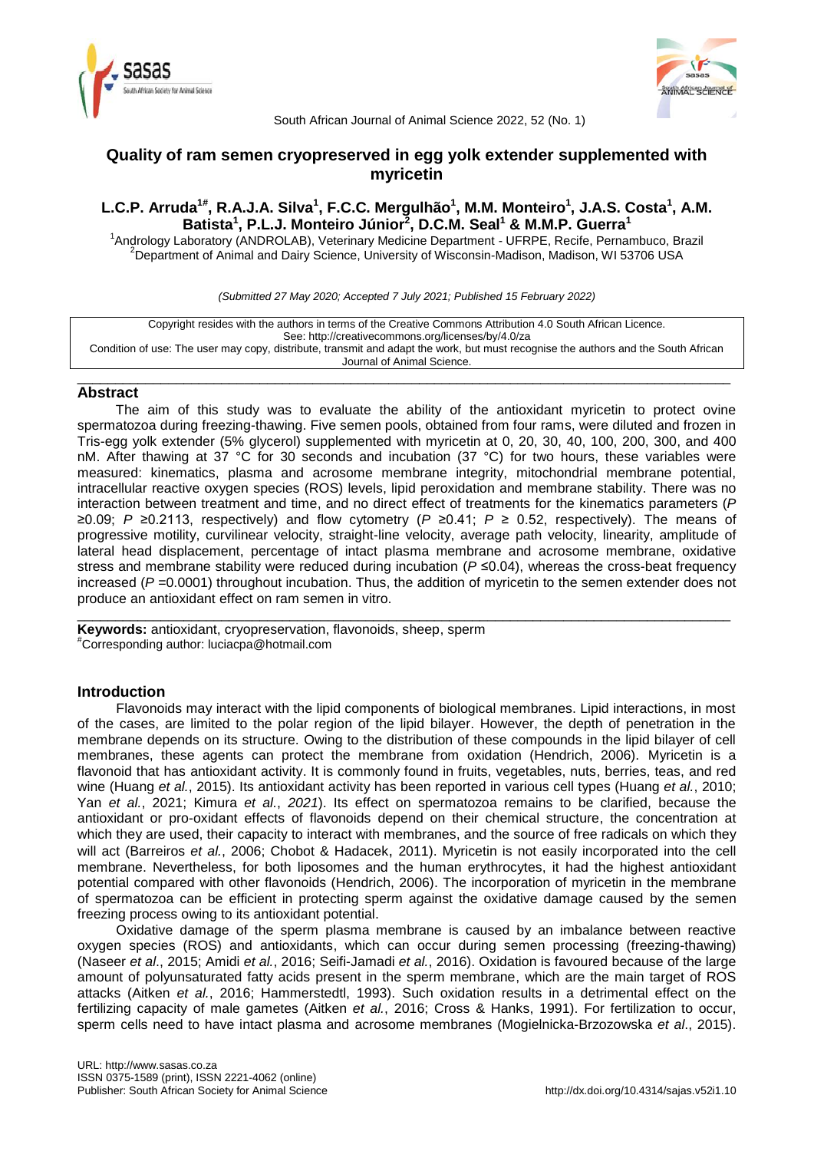



South African Journal of Animal Science 2022, 52 (No. 1)

# **Quality of ram semen cryopreserved in egg yolk extender supplemented with myricetin**

# **L.C.P. Arruda1# , R.A.J.A. Silva<sup>1</sup> , F.C.C. Mergulhão<sup>1</sup> , M.M. Monteiro<sup>1</sup> , J.A.S. Costa<sup>1</sup> , A.M. Batista<sup>1</sup> , P.L.J. Monteiro Júnior<sup>2</sup> , D.C.M. Seal<sup>1</sup> & M.M.P. Guerra<sup>1</sup>**

<sup>1</sup>Andrology Laboratory (ANDROLAB), Veterinary Medicine Department - UFRPE, Recife, Pernambuco, Brazil  $2$ Department of Animal and Dairy Science, University of Wisconsin-Madison, Madison, WI 53706 USA

*(Submitted 27 May 2020; Accepted 7 July 2021; Published 15 February 2022)*

Copyright resides with the authors in terms of the Creative Commons Attribution 4.0 South African Licence. See: http://creativecommons.org/licenses/by/4.0/za Condition of use: The user may copy, distribute, transmit and adapt the work, but must recognise the authors and the South African Journal of Animal Science.

\_\_\_\_\_\_\_\_\_\_\_\_\_\_\_\_\_\_\_\_\_\_\_\_\_\_\_\_\_\_\_\_\_\_\_\_\_\_\_\_\_\_\_\_\_\_\_\_\_\_\_\_\_\_\_\_\_\_\_\_\_\_\_\_\_\_\_\_\_\_\_\_\_\_\_\_\_\_\_\_\_\_\_\_\_\_

## **Abstract**

The aim of this study was to evaluate the ability of the antioxidant myricetin to protect ovine spermatozoa during freezing-thawing. Five semen pools, obtained from four rams, were diluted and frozen in Tris-egg yolk extender (5% glycerol) supplemented with myricetin at 0, 20, 30, 40, 100, 200, 300, and 400 nM. After thawing at 37 °C for 30 seconds and incubation (37 °C) for two hours, these variables were measured: kinematics, plasma and acrosome membrane integrity, mitochondrial membrane potential, intracellular reactive oxygen species (ROS) levels, lipid peroxidation and membrane stability. There was no interaction between treatment and time, and no direct effect of treatments for the kinematics parameters (*P*  ≥0.09; *P* ≥0.2113, respectively) and flow cytometry (*P* ≥0.41; *P* ≥ 0.52, respectively). The means of progressive motility, curvilinear velocity, straight-line velocity, average path velocity, linearity, amplitude of lateral head displacement, percentage of intact plasma membrane and acrosome membrane, oxidative stress and membrane stability were reduced during incubation (*P* ≤0.04), whereas the cross-beat frequency increased ( $P = 0.0001$ ) throughout incubation. Thus, the addition of myricetin to the semen extender does not produce an antioxidant effect on ram semen in vitro.

\_\_\_\_\_\_\_\_\_\_\_\_\_\_\_\_\_\_\_\_\_\_\_\_\_\_\_\_\_\_\_\_\_\_\_\_\_\_\_\_\_\_\_\_\_\_\_\_\_\_\_\_\_\_\_\_\_\_\_\_\_\_\_\_\_\_\_\_\_\_\_\_\_\_\_\_\_\_\_\_\_\_\_\_\_\_

**Keywords:** antioxidant, cryopreservation, flavonoids, sheep, sperm #Corresponding author: luciacpa@hotmail.com

## **Introduction**

Flavonoids may interact with the lipid components of biological membranes. Lipid interactions, in most of the cases, are limited to the polar region of the lipid bilayer. However, the depth of penetration in the membrane depends on its structure. Owing to the distribution of these compounds in the lipid bilayer of cell membranes, these agents can protect the membrane from oxidation (Hendrich, 2006). Myricetin is a flavonoid that has antioxidant activity. It is commonly found in fruits, vegetables, nuts, berries, teas, and red wine (Huang *et al.*, 2015). Its antioxidant activity has been reported in various cell types (Huang *et al.*, 2010; Yan *et al.*, 2021; Kimura *et al.*, *2021*). Its effect on spermatozoa remains to be clarified, because the antioxidant or pro-oxidant effects of flavonoids depend on their chemical structure, the concentration at which they are used, their capacity to interact with membranes, and the source of free radicals on which they will act (Barreiros *et al.*, 2006; Chobot & Hadacek, 2011). Myricetin is not easily incorporated into the cell membrane. Nevertheless, for both liposomes and the human erythrocytes, it had the highest antioxidant potential compared with other flavonoids (Hendrich, 2006). The incorporation of myricetin in the membrane of spermatozoa can be efficient in protecting sperm against the oxidative damage caused by the semen freezing process owing to its antioxidant potential.

Oxidative damage of the sperm plasma membrane is caused by an imbalance between reactive oxygen species (ROS) and antioxidants, which can occur during semen processing (freezing-thawing) (Naseer *et al*., 2015; Amidi *et al.*, 2016; Seifi-Jamadi *et al.*, 2016). Oxidation is favoured because of the large amount of polyunsaturated fatty acids present in the sperm membrane, which are the main target of ROS attacks (Aitken *et al.*, 2016; Hammerstedtl, 1993). Such oxidation results in a detrimental effect on the fertilizing capacity of male gametes (Aitken *et al.*, 2016; Cross & Hanks, 1991). For fertilization to occur, sperm cells need to have intact plasma and acrosome membranes (Mogielnicka-Brzozowska *et al*., 2015).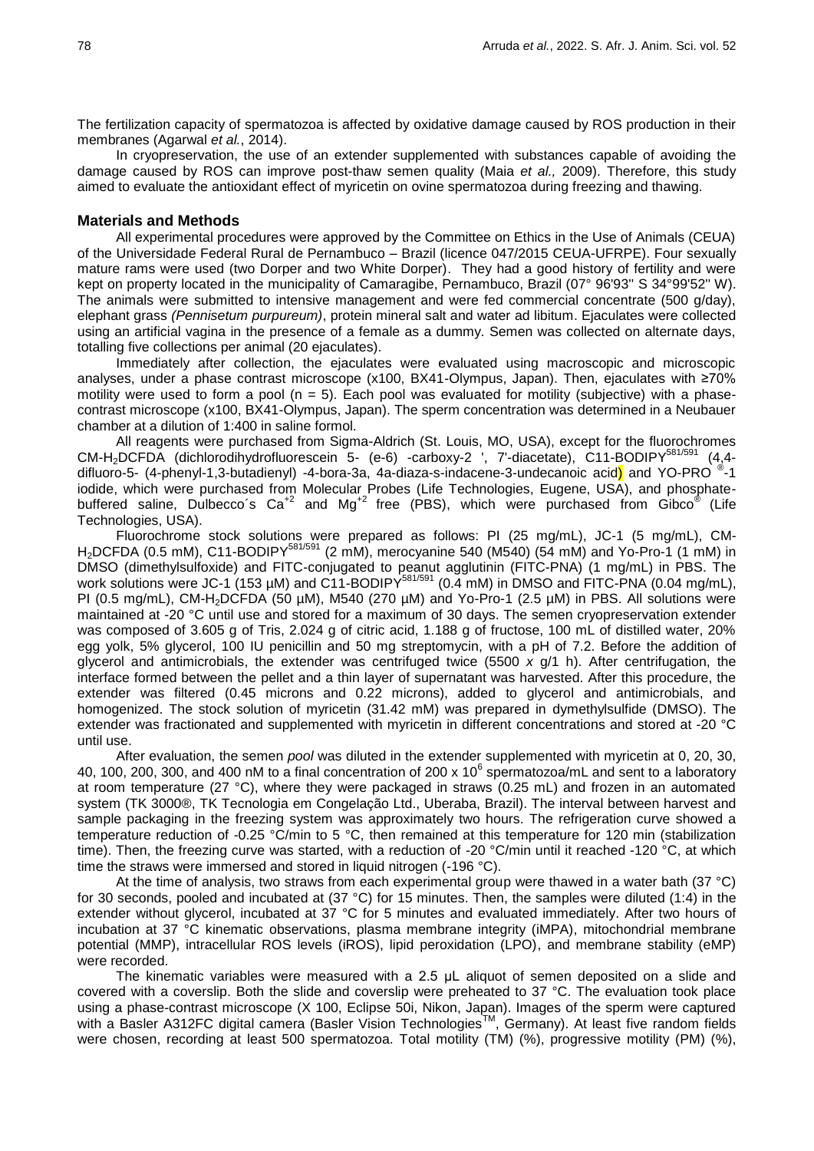The fertilization capacity of spermatozoa is affected by oxidative damage caused by ROS production in their membranes (Agarwal *et al.*, 2014).

In cryopreservation, the use of an extender supplemented with substances capable of avoiding the damage caused by ROS can improve post-thaw semen quality (Maia *et al.,* 2009). Therefore, this study aimed to evaluate the antioxidant effect of myricetin on ovine spermatozoa during freezing and thawing.

### **Materials and Methods**

All experimental procedures were approved by the Committee on Ethics in the Use of Animals (CEUA) of the Universidade Federal Rural de Pernambuco – Brazil (licence 047/2015 CEUA-UFRPE). Four sexually mature rams were used (two Dorper and two White Dorper). They had a good history of fertility and were kept on property located in the municipality of Camaragibe, Pernambuco, Brazil (07° 96'93'' S 34°99'52'' W). The animals were submitted to intensive management and were fed commercial concentrate (500 g/day), elephant grass *(Pennisetum purpureum)*, protein mineral salt and water ad libitum. Ejaculates were collected using an artificial vagina in the presence of a female as a dummy. Semen was collected on alternate days, totalling five collections per animal (20 ejaculates).

Immediately after collection, the ejaculates were evaluated using macroscopic and microscopic analyses, under a phase contrast microscope (x100, BX41-Olympus, Japan). Then, ejaculates with ≥70% motility were used to form a pool ( $n = 5$ ). Each pool was evaluated for motility (subjective) with a phasecontrast microscope (x100, BX41-Olympus, Japan). The sperm concentration was determined in a Neubauer chamber at a dilution of 1:400 in saline formol.

All reagents were purchased from Sigma-Aldrich (St. Louis, MO, USA), except for the fluorochromes CM-H<sub>2</sub>DCFDA (dichlorodihydrofluorescein 5- (e-6) -carboxy-2 ', 7'-diacetate), C11-BODIPY<sup>581/591</sup> (4,4difluoro-5- (4-phenyl-1,3-butadienyl) -4-bora-3a, 4a-diaza-s-indacene-3-undecanoic acid) and YO-PRO ®-1 iodide, which were purchased from Molecular Probes (Life Technologies, Eugene, USA), and phosphatebuffered saline, Dulbecco's  $Ca^{+2}$  and Mg<sup>+2</sup> free (PBS), which were purchased from Gibco<sup>®</sup> (Life Technologies, USA).

Fluorochrome stock solutions were prepared as follows: PI (25 mg/mL), JC-1 (5 mg/mL), CM-H<sub>2</sub>DCFDA (0.5 mM), C11-BODIPY<sup>581/591</sup> (2 mM), merocyanine 540 (M540) (54 mM) and Yo-Pro-1 (1 mM) in DMSO (dimethylsulfoxide) and FITC-conjugated to peanut agglutinin (FITC-PNA) (1 mg/mL) in PBS. The work solutions were JC-1 (153 µM) and C11-BODIPY<sup>581/591</sup> (0.4 mM) in DMSO and FITC-PNA (0.04 mg/mL), PI (0.5 mg/mL), CM-H<sub>2</sub>DCFDA (50  $\mu$ M), M540 (270  $\mu$ M) and Yo-Pro-1 (2.5  $\mu$ M) in PBS. All solutions were maintained at -20 °C until use and stored for a maximum of 30 days. The semen cryopreservation extender was composed of 3.605 g of Tris, 2.024 g of citric acid, 1.188 g of fructose, 100 mL of distilled water, 20% egg yolk, 5% glycerol, 100 IU penicillin and 50 mg streptomycin, with a pH of 7.2. Before the addition of glycerol and antimicrobials, the extender was centrifuged twice (5500 *x* g/1 h). After centrifugation, the interface formed between the pellet and a thin layer of supernatant was harvested. After this procedure, the extender was filtered (0.45 microns and 0.22 microns), added to glycerol and antimicrobials, and homogenized. The stock solution of myricetin (31.42 mM) was prepared in dymethylsulfide (DMSO). The extender was fractionated and supplemented with myricetin in different concentrations and stored at -20 °C until use.

After evaluation, the semen *pool* was diluted in the extender supplemented with myricetin at 0, 20, 30, 40, 100, 200, 300, and 400 nM to a final concentration of 200 x 10 $^6$  spermatozoa/mL and sent to a laboratory at room temperature (27 °C), where they were packaged in straws (0.25 mL) and frozen in an automated system (TK 3000®, TK Tecnologia em Congelação Ltd., Uberaba, Brazil). The interval between harvest and sample packaging in the freezing system was approximately two hours. The refrigeration curve showed a temperature reduction of -0.25 °C/min to 5 °C, then remained at this temperature for 120 min (stabilization time). Then, the freezing curve was started, with a reduction of -20 °C/min until it reached -120 °C, at which time the straws were immersed and stored in liquid nitrogen (-196 °C).

At the time of analysis, two straws from each experimental group were thawed in a water bath (37 °C) for 30 seconds, pooled and incubated at (37 °C) for 15 minutes. Then, the samples were diluted (1:4) in the extender without glycerol, incubated at 37 °C for 5 minutes and evaluated immediately. After two hours of incubation at 37 °C kinematic observations, plasma membrane integrity (iMPA), mitochondrial membrane potential (MMP), intracellular ROS levels (iROS), lipid peroxidation (LPO), and membrane stability (eMP) were recorded.

The kinematic variables were measured with a 2.5 μL aliquot of semen deposited on a slide and covered with a coverslip. Both the slide and coverslip were preheated to 37 °C. The evaluation took place using a phase-contrast microscope (X 100, Eclipse 50i, Nikon, Japan). Images of the sperm were captured with a Basler A312FC digital camera (Basler Vision Technologies™, Germany). At least five random fields were chosen, recording at least 500 spermatozoa. Total motility (TM) (%), progressive motility (PM) (%),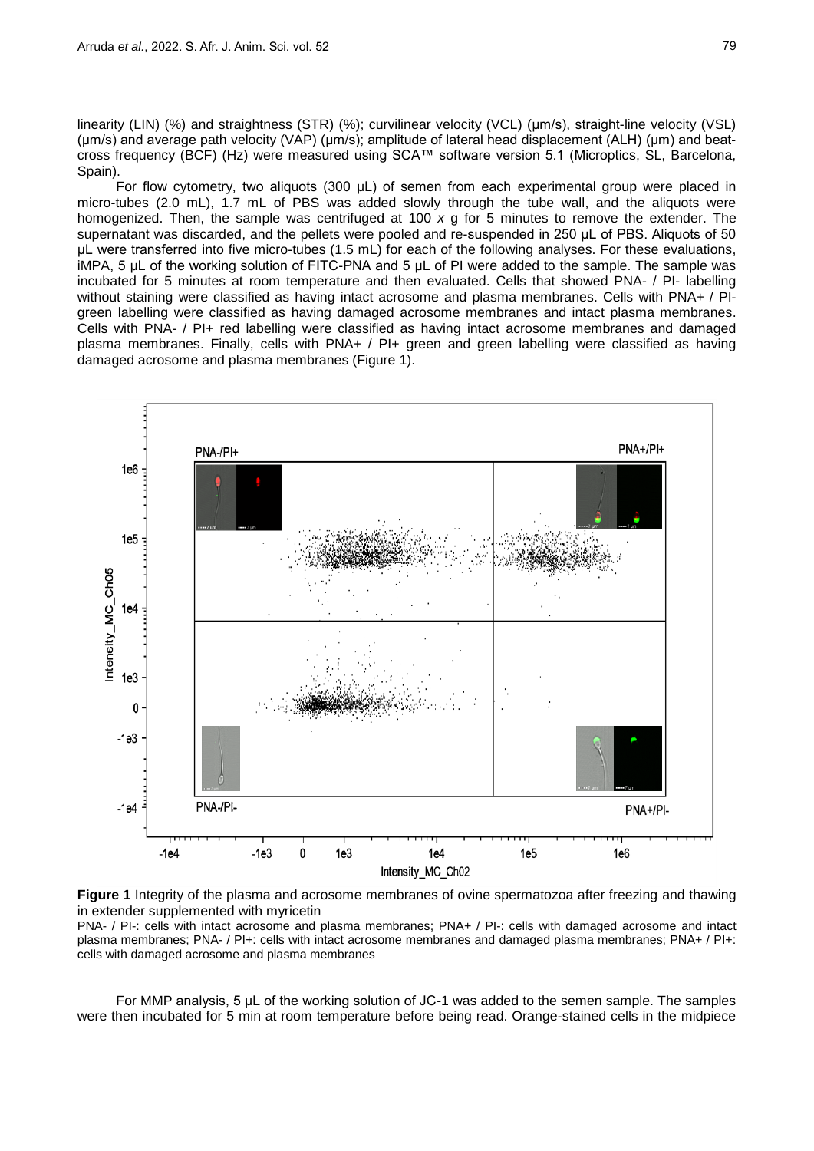linearity (LIN) (%) and straightness (STR) (%); curvilinear velocity (VCL) (μm/s), straight-line velocity (VSL) (μm/s) and average path velocity (VAP) (μm/s); amplitude of lateral head displacement (ALH) (μm) and beatcross frequency (BCF) (Hz) were measured using SCA™ software version 5.1 (Microptics, SL, Barcelona, Spain).

For flow cytometry, two aliquots (300 μL) of semen from each experimental group were placed in micro-tubes (2.0 mL), 1.7 mL of PBS was added slowly through the tube wall, and the aliquots were homogenized. Then, the sample was centrifuged at 100 *x* g for 5 minutes to remove the extender. The supernatant was discarded, and the pellets were pooled and re-suspended in 250 μL of PBS. Aliquots of 50 μL were transferred into five micro-tubes (1.5 mL) for each of the following analyses. For these evaluations, iMPA, 5 μL of the working solution of FITC-PNA and 5 μL of PI were added to the sample. The sample was incubated for 5 minutes at room temperature and then evaluated. Cells that showed PNA- / PI- labelling without staining were classified as having intact acrosome and plasma membranes. Cells with PNA+ / PIgreen labelling were classified as having damaged acrosome membranes and intact plasma membranes. Cells with PNA- / PI+ red labelling were classified as having intact acrosome membranes and damaged plasma membranes. Finally, cells with PNA+ / PI+ green and green labelling were classified as having damaged acrosome and plasma membranes (Figure 1).



**Figure 1** Integrity of the plasma and acrosome membranes of ovine spermatozoa after freezing and thawing in extender supplemented with myricetin

PNA- / PI-: cells with intact acrosome and plasma membranes; PNA+ / PI-: cells with damaged acrosome and intact plasma membranes; PNA- / PI+: cells with intact acrosome membranes and damaged plasma membranes; PNA+ / PI+: cells with damaged acrosome and plasma membranes

For MMP analysis, 5 μL of the working solution of JC-1 was added to the semen sample. The samples were then incubated for 5 min at room temperature before being read. Orange-stained cells in the midpiece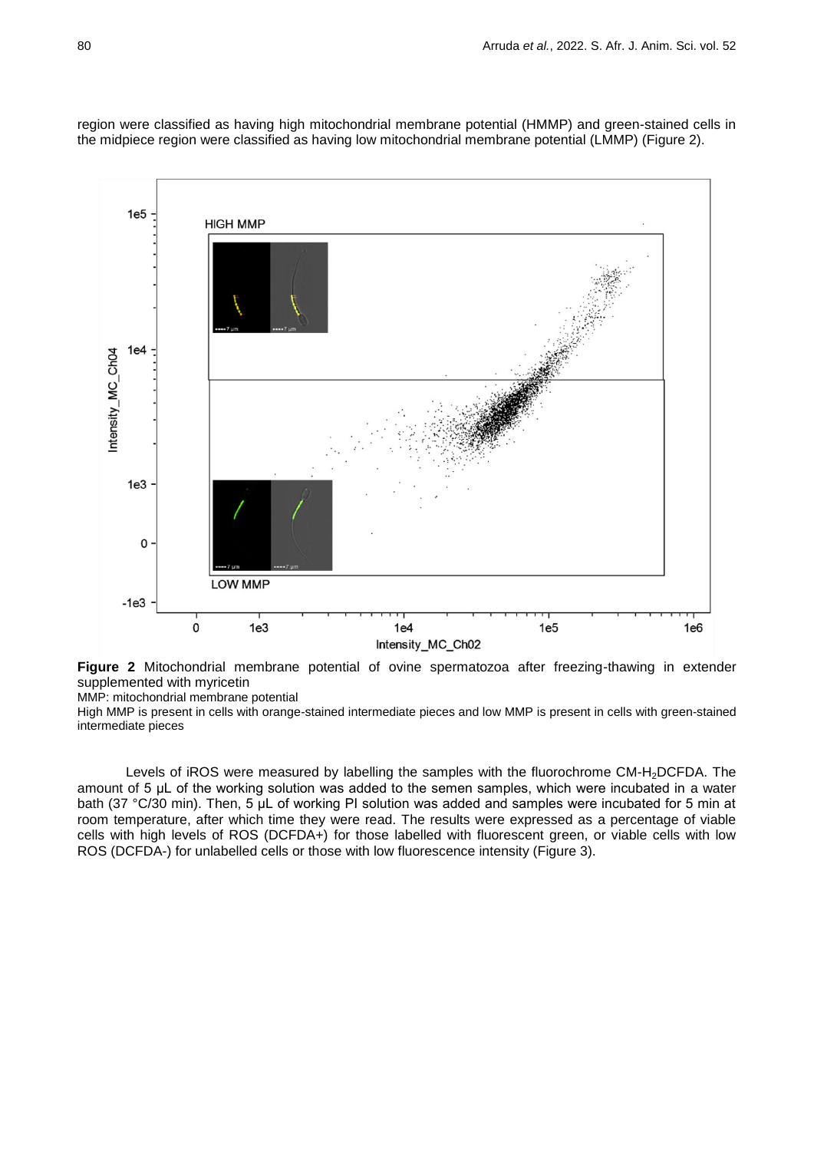

region were classified as having high mitochondrial membrane potential (HMMP) and green-stained cells in the midpiece region were classified as having low mitochondrial membrane potential (LMMP) (Figure 2).

**Figure 2** Mitochondrial membrane potential of ovine spermatozoa after freezing-thawing in extender supplemented with myricetin

MMP: mitochondrial membrane potential

High MMP is present in cells with orange-stained intermediate pieces and low MMP is present in cells with green-stained intermediate pieces

Levels of iROS were measured by labelling the samples with the fluorochrome CM-H<sub>2</sub>DCFDA. The amount of 5 μL of the working solution was added to the semen samples, which were incubated in a water bath (37 °C/30 min). Then, 5 μL of working PI solution was added and samples were incubated for 5 min at room temperature, after which time they were read. The results were expressed as a percentage of viable cells with high levels of ROS (DCFDA+) for those labelled with fluorescent green, or viable cells with low ROS (DCFDA-) for unlabelled cells or those with low fluorescence intensity (Figure 3).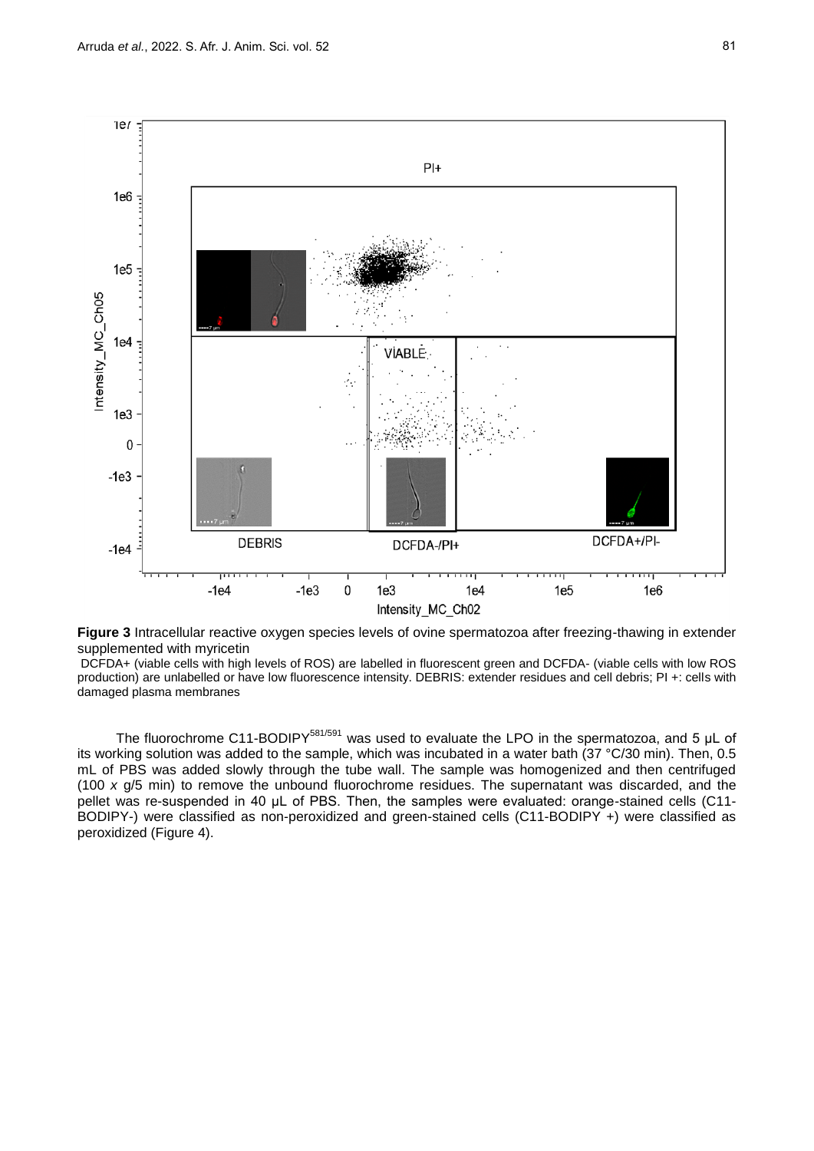

**Figure 3** Intracellular reactive oxygen species levels of ovine spermatozoa after freezing-thawing in extender supplemented with myricetin

DCFDA+ (viable cells with high levels of ROS) are labelled in fluorescent green and DCFDA- (viable cells with low ROS production) are unlabelled or have low fluorescence intensity. DEBRIS: extender residues and cell debris; PI +: cells with damaged plasma membranes

The fluorochrome C11-BODIPY<sup>581/591</sup> was used to evaluate the LPO in the spermatozoa, and 5 µL of its working solution was added to the sample, which was incubated in a water bath (37 °C/30 min). Then, 0.5 mL of PBS was added slowly through the tube wall. The sample was homogenized and then centrifuged (100 *x* g/5 min) to remove the unbound fluorochrome residues. The supernatant was discarded, and the pellet was re-suspended in 40 μL of PBS. Then, the samples were evaluated: orange-stained cells (C11- BODIPY-) were classified as non-peroxidized and green-stained cells (C11-BODIPY +) were classified as peroxidized (Figure 4).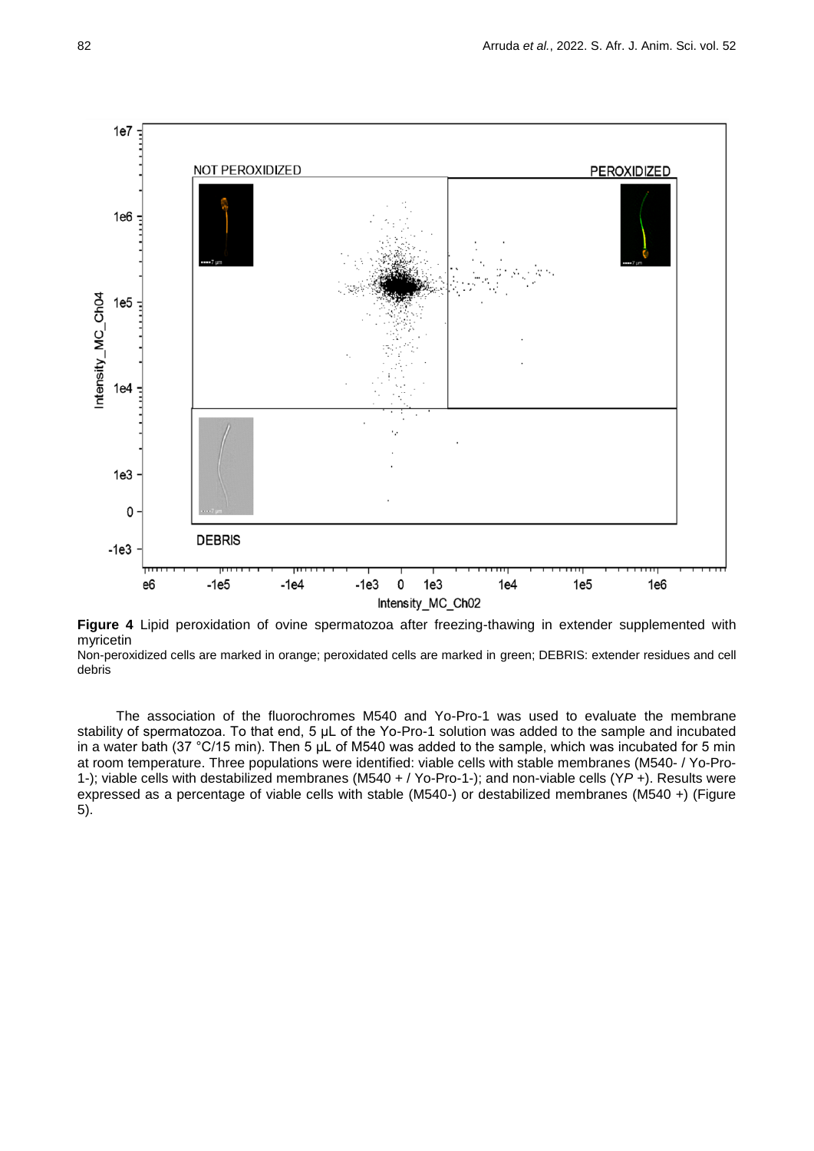

**Figure 4** Lipid peroxidation of ovine spermatozoa after freezing-thawing in extender supplemented with myricetin

Non-peroxidized cells are marked in orange; peroxidated cells are marked in green; DEBRIS: extender residues and cell debris

The association of the fluorochromes M540 and Yo-Pro-1 was used to evaluate the membrane stability of spermatozoa. To that end, 5 μL of the Yo-Pro-1 solution was added to the sample and incubated in a water bath (37 °C/15 min). Then 5 μL of M540 was added to the sample, which was incubated for 5 min at room temperature. Three populations were identified: viable cells with stable membranes (M540- / Yo-Pro-1-); viable cells with destabilized membranes (M540 + / Yo-Pro-1-); and non-viable cells (Y*P* +). Results were expressed as a percentage of viable cells with stable (M540-) or destabilized membranes (M540 +) (Figure 5).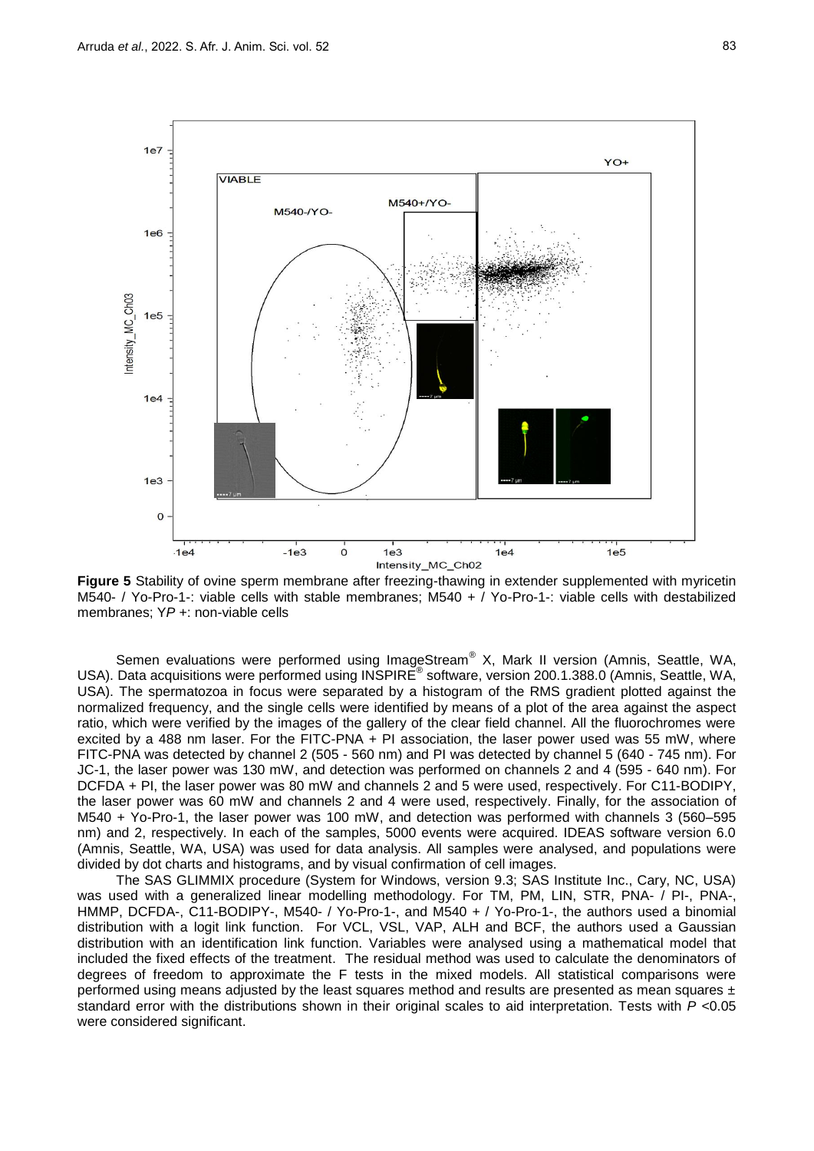

**Figure 5** Stability of ovine sperm membrane after freezing-thawing in extender supplemented with myricetin M540- / Yo-Pro-1-: viable cells with stable membranes; M540 + / Yo-Pro-1-: viable cells with destabilized membranes; Y*P* +: non-viable cells

Semen evaluations were performed using ImageStream® X, Mark II version (Amnis, Seattle, WA, USA). Data acquisitions were performed using INSPIRE<sup>®</sup> software, version 200.1.388.0 (Amnis, Seattle, WA, USA). The spermatozoa in focus were separated by a histogram of the RMS gradient plotted against the normalized frequency, and the single cells were identified by means of a plot of the area against the aspect ratio, which were verified by the images of the gallery of the clear field channel. All the fluorochromes were excited by a 488 nm laser. For the FITC-PNA + PI association, the laser power used was 55 mW, where FITC-PNA was detected by channel 2 (505 - 560 nm) and PI was detected by channel 5 (640 - 745 nm). For JC-1, the laser power was 130 mW, and detection was performed on channels 2 and 4 (595 - 640 nm). For DCFDA + PI, the laser power was 80 mW and channels 2 and 5 were used, respectively. For C11-BODIPY, the laser power was 60 mW and channels 2 and 4 were used, respectively. Finally, for the association of M540 + Yo-Pro-1, the laser power was 100 mW, and detection was performed with channels 3 (560–595 nm) and 2, respectively. In each of the samples, 5000 events were acquired. IDEAS software version 6.0 (Amnis, Seattle, WA, USA) was used for data analysis. All samples were analysed, and populations were divided by dot charts and histograms, and by visual confirmation of cell images.

The SAS GLIMMIX procedure (System for Windows, version 9.3; SAS Institute Inc., Cary, NC, USA) was used with a generalized linear modelling methodology. For TM, PM, LIN, STR, PNA- / PI-, PNA-, HMMP, DCFDA-, C11-BODIPY-, M540- / Yo-Pro-1-, and M540 + / Yo-Pro-1-, the authors used a binomial distribution with a logit link function. For VCL, VSL, VAP, ALH and BCF, the authors used a Gaussian distribution with an identification link function. Variables were analysed using a mathematical model that included the fixed effects of the treatment. The residual method was used to calculate the denominators of degrees of freedom to approximate the F tests in the mixed models. All statistical comparisons were performed using means adjusted by the least squares method and results are presented as mean squares ± standard error with the distributions shown in their original scales to aid interpretation. Tests with *P* <0.05 were considered significant.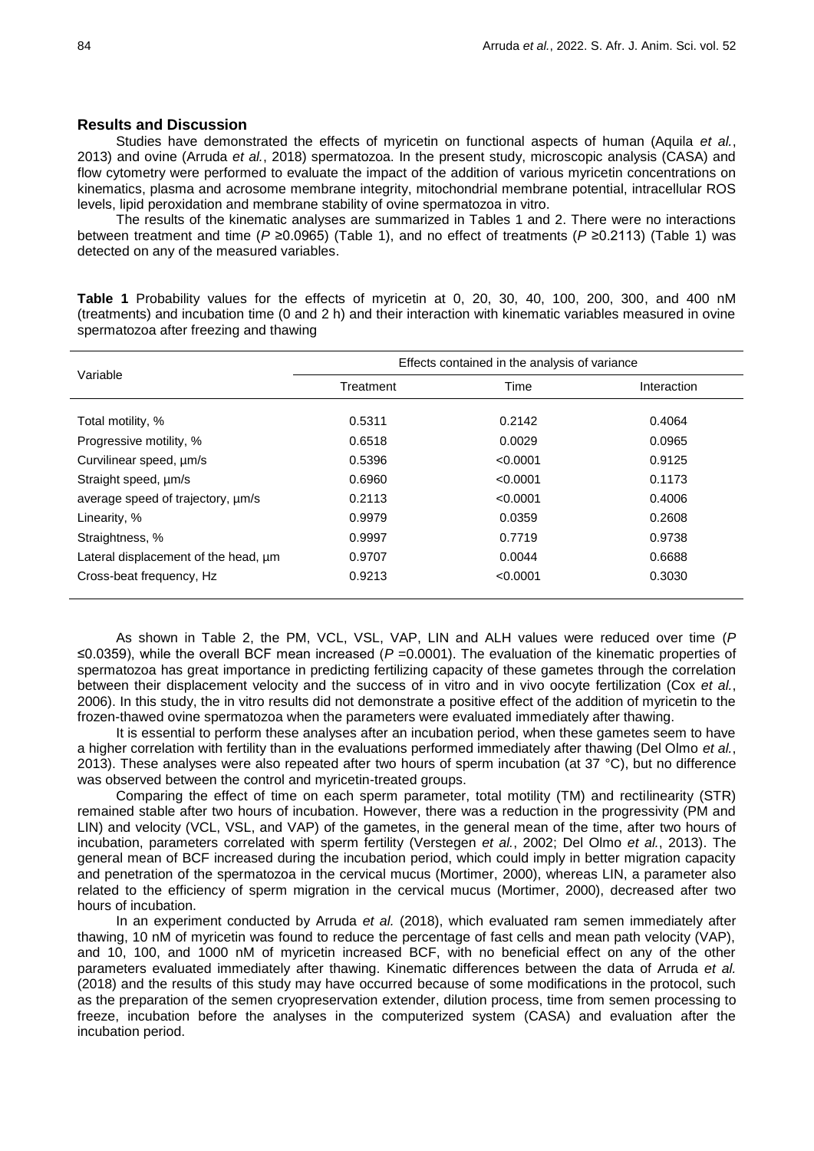## **Results and Discussion**

Studies have demonstrated the effects of myricetin on functional aspects of human (Aquila *et al.*, 2013) and ovine (Arruda *et al.*, 2018) spermatozoa. In the present study, microscopic analysis (CASA) and flow cytometry were performed to evaluate the impact of the addition of various myricetin concentrations on kinematics, plasma and acrosome membrane integrity, mitochondrial membrane potential, intracellular ROS levels, lipid peroxidation and membrane stability of ovine spermatozoa in vitro.

The results of the kinematic analyses are summarized in Tables 1 and 2. There were no interactions between treatment and time (*P* ≥0.0965) (Table 1), and no effect of treatments (*P* ≥0.2113) (Table 1) was detected on any of the measured variables.

| Variable                             | Effects contained in the analysis of variance |          |             |  |  |  |  |
|--------------------------------------|-----------------------------------------------|----------|-------------|--|--|--|--|
|                                      | Treatment                                     | Time     | Interaction |  |  |  |  |
| Total motility, %                    | 0.5311                                        | 0.2142   | 0.4064      |  |  |  |  |
| Progressive motility, %              | 0.6518                                        | 0.0029   | 0.0965      |  |  |  |  |
| Curvilinear speed, um/s              | 0.5396                                        | < 0.0001 | 0.9125      |  |  |  |  |
| Straight speed, µm/s                 | 0.6960                                        | < 0.0001 | 0.1173      |  |  |  |  |
| average speed of trajectory, um/s    | 0.2113                                        | < 0.0001 | 0.4006      |  |  |  |  |
| Linearity, %                         | 0.9979                                        | 0.0359   | 0.2608      |  |  |  |  |
| Straightness, %                      | 0.9997                                        | 0.7719   | 0.9738      |  |  |  |  |
| Lateral displacement of the head, um | 0.9707                                        | 0.0044   | 0.6688      |  |  |  |  |
| Cross-beat frequency, Hz             | 0.9213                                        | < 0.0001 | 0.3030      |  |  |  |  |

**Table 1** Probability values for the effects of myricetin at 0, 20, 30, 40, 100, 200, 300, and 400 nM (treatments) and incubation time (0 and 2 h) and their interaction with kinematic variables measured in ovine spermatozoa after freezing and thawing

As shown in Table 2, the PM, VCL, VSL, VAP, LIN and ALH values were reduced over time (*P*  ≤0.0359), while the overall BCF mean increased (*P* =0.0001). The evaluation of the kinematic properties of spermatozoa has great importance in predicting fertilizing capacity of these gametes through the correlation between their displacement velocity and the success of in vitro and in vivo oocyte fertilization (Cox *et al.*, 2006). In this study, the in vitro results did not demonstrate a positive effect of the addition of myricetin to the frozen-thawed ovine spermatozoa when the parameters were evaluated immediately after thawing.

It is essential to perform these analyses after an incubation period, when these gametes seem to have a higher correlation with fertility than in the evaluations performed immediately after thawing (Del Olmo *et al.*, 2013). These analyses were also repeated after two hours of sperm incubation (at 37  $^{\circ}$ C), but no difference was observed between the control and myricetin-treated groups.

Comparing the effect of time on each sperm parameter, total motility (TM) and rectilinearity (STR) remained stable after two hours of incubation. However, there was a reduction in the progressivity (PM and LIN) and velocity (VCL, VSL, and VAP) of the gametes, in the general mean of the time, after two hours of incubation, parameters correlated with sperm fertility (Verstegen *et al.*, 2002; Del Olmo *et al.*, 2013). The general mean of BCF increased during the incubation period, which could imply in better migration capacity and penetration of the spermatozoa in the cervical mucus (Mortimer, 2000), whereas LIN, a parameter also related to the efficiency of sperm migration in the cervical mucus (Mortimer, 2000), decreased after two hours of incubation.

In an experiment conducted by Arruda *et al.* (2018), which evaluated ram semen immediately after thawing, 10 nM of myricetin was found to reduce the percentage of fast cells and mean path velocity (VAP), and 10, 100, and 1000 nM of myricetin increased BCF, with no beneficial effect on any of the other parameters evaluated immediately after thawing. Kinematic differences between the data of Arruda *et al.* (2018) and the results of this study may have occurred because of some modifications in the protocol, such as the preparation of the semen cryopreservation extender, dilution process, time from semen processing to freeze, incubation before the analyses in the computerized system (CASA) and evaluation after the incubation period.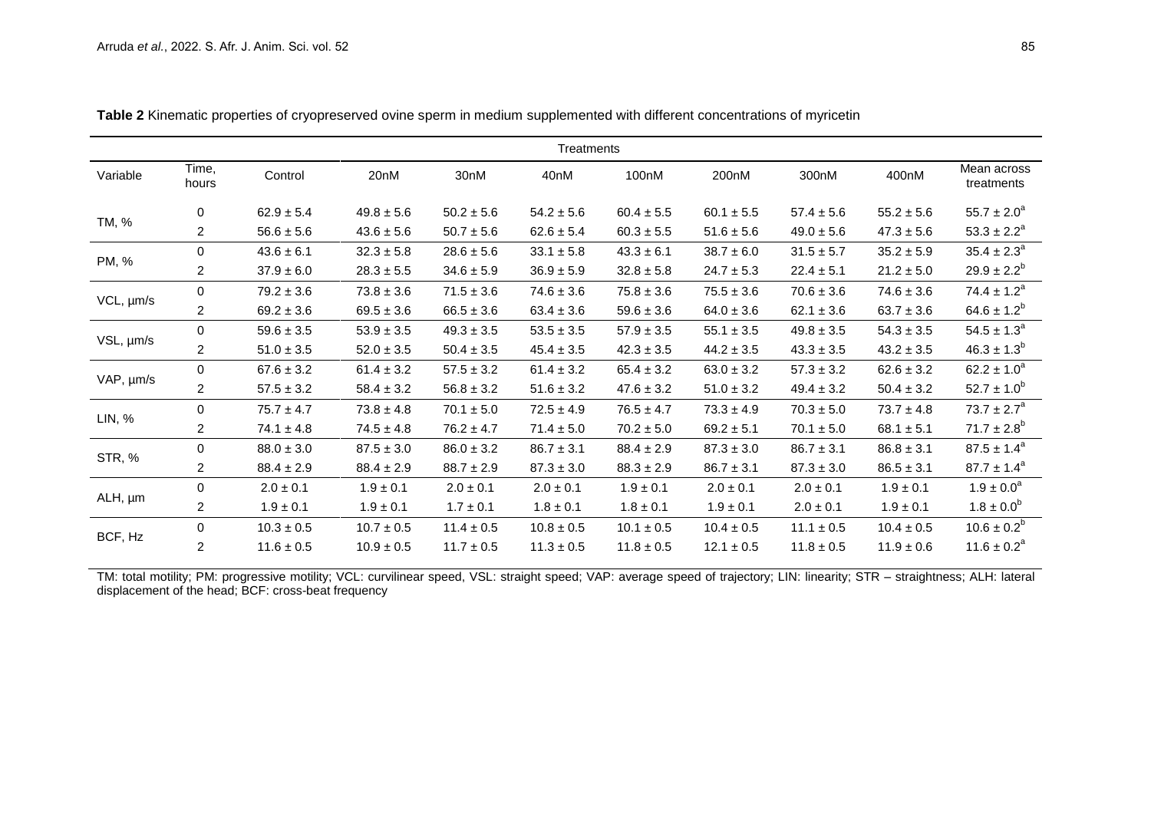| Treatments |                |                |                |                |                  |                |                |                |                |                           |
|------------|----------------|----------------|----------------|----------------|------------------|----------------|----------------|----------------|----------------|---------------------------|
| Variable   | Time.<br>hours | Control        | 20nM           | 30nM           | 40 <sub>nM</sub> | 100nM          | 200nM          | 300nM          | 400nM          | Mean across<br>treatments |
| TM, %      | $\mathbf 0$    | $62.9 \pm 5.4$ | $49.8 \pm 5.6$ | $50.2 \pm 5.6$ | $54.2 \pm 5.6$   | $60.4 \pm 5.5$ | $60.1 \pm 5.5$ | $57.4 \pm 5.6$ | $55.2 \pm 5.6$ | $55.7 \pm 2.0^a$          |
|            | $\overline{2}$ | $56.6 \pm 5.6$ | $43.6 \pm 5.6$ | $50.7 \pm 5.6$ | $62.6 \pm 5.4$   | $60.3 \pm 5.5$ | $51.6 \pm 5.6$ | $49.0 \pm 5.6$ | $47.3 \pm 5.6$ | $53.3 \pm 2.2^a$          |
| PM, %      | $\Omega$       | $43.6 \pm 6.1$ | $32.3 \pm 5.8$ | $28.6 \pm 5.6$ | $33.1 \pm 5.8$   | $43.3 \pm 6.1$ | $38.7 \pm 6.0$ | $31.5 \pm 5.7$ | $35.2 \pm 5.9$ | $35.4 \pm 2.3^a$          |
|            | $\overline{2}$ | $37.9 \pm 6.0$ | $28.3 \pm 5.5$ | $34.6 \pm 5.9$ | $36.9 \pm 5.9$   | $32.8 \pm 5.8$ | $24.7 \pm 5.3$ | $22.4 \pm 5.1$ | $21.2 \pm 5.0$ | $29.9 \pm 2.2^{b}$        |
| VCL, µm/s  | 0              | $79.2 \pm 3.6$ | $73.8 \pm 3.6$ | $71.5 \pm 3.6$ | $74.6 \pm 3.6$   | $75.8 \pm 3.6$ | $75.5 \pm 3.6$ | $70.6 \pm 3.6$ | $74.6 \pm 3.6$ | $74.4 \pm 1.2^a$          |
|            | $\overline{2}$ | $69.2 \pm 3.6$ | $69.5 \pm 3.6$ | $66.5 \pm 3.6$ | $63.4 \pm 3.6$   | $59.6 \pm 3.6$ | $64.0 \pm 3.6$ | $62.1 \pm 3.6$ | $63.7 \pm 3.6$ | $64.6 \pm 1.2^b$          |
| VSL, µm/s  | $\mathbf 0$    | $59.6 \pm 3.5$ | $53.9 \pm 3.5$ | $49.3 \pm 3.5$ | $53.5 \pm 3.5$   | $57.9 \pm 3.5$ | $55.1 \pm 3.5$ | $49.8 \pm 3.5$ | $54.3 \pm 3.5$ | $54.5 \pm 1.3^a$          |
|            | $\overline{2}$ | $51.0 \pm 3.5$ | $52.0 \pm 3.5$ | $50.4 \pm 3.5$ | $45.4 \pm 3.5$   | $42.3 \pm 3.5$ | $44.2 \pm 3.5$ | $43.3 \pm 3.5$ | $43.2 \pm 3.5$ | $46.3 \pm 1.3^{b}$        |
| VAP, µm/s  | 0              | $67.6 \pm 3.2$ | $61.4 \pm 3.2$ | $57.5 \pm 3.2$ | $61.4 \pm 3.2$   | $65.4 \pm 3.2$ | $63.0 \pm 3.2$ | $57.3 \pm 3.2$ | $62.6 \pm 3.2$ | $62.2 \pm 1.0^a$          |
|            | $\overline{2}$ | $57.5 \pm 3.2$ | $58.4 \pm 3.2$ | $56.8 \pm 3.2$ | $51.6 \pm 3.2$   | $47.6 \pm 3.2$ | $51.0 \pm 3.2$ | $49.4 \pm 3.2$ | $50.4 \pm 3.2$ | $52.7 \pm 1.0^b$          |
| LIN, %     | $\mathbf 0$    | $75.7 \pm 4.7$ | $73.8 \pm 4.8$ | $70.1 \pm 5.0$ | $72.5 \pm 4.9$   | $76.5 \pm 4.7$ | $73.3 \pm 4.9$ | $70.3 \pm 5.0$ | $73.7 \pm 4.8$ | $73.7 \pm 2.7^a$          |
|            | $\overline{2}$ | $74.1 \pm 4.8$ | $74.5 \pm 4.8$ | $76.2 \pm 4.7$ | $71.4 \pm 5.0$   | $70.2 \pm 5.0$ | $69.2 \pm 5.1$ | $70.1 \pm 5.0$ | $68.1 \pm 5.1$ | $71.7 \pm 2.8^b$          |
| STR, %     | $\mathbf 0$    | $88.0 \pm 3.0$ | $87.5 \pm 3.0$ | $86.0 \pm 3.2$ | $86.7 \pm 3.1$   | $88.4 \pm 2.9$ | $87.3 \pm 3.0$ | $86.7 \pm 3.1$ | $86.8 \pm 3.1$ | $87.5 \pm 1.4^a$          |
|            | $\overline{2}$ | $88.4 \pm 2.9$ | $88.4 \pm 2.9$ | $88.7 \pm 2.9$ | $87.3 \pm 3.0$   | $88.3 \pm 2.9$ | $86.7 \pm 3.1$ | $87.3 \pm 3.0$ | $86.5 \pm 3.1$ | $87.7 \pm 1.4^a$          |
| ALH, µm    | 0              | $2.0 \pm 0.1$  | $1.9 \pm 0.1$  | $2.0 \pm 0.1$  | $2.0 \pm 0.1$    | $1.9 \pm 0.1$  | $2.0 \pm 0.1$  | $2.0 \pm 0.1$  | $1.9 \pm 0.1$  | $1.9 \pm 0.0^a$           |
|            | $\overline{2}$ | $1.9 \pm 0.1$  | $1.9 \pm 0.1$  | $1.7 \pm 0.1$  | $1.8 \pm 0.1$    | $1.8 \pm 0.1$  | $1.9 \pm 0.1$  | $2.0 \pm 0.1$  | $1.9 \pm 0.1$  | $1.8 \pm 0.0^6$           |
| BCF, Hz    | 0              | $10.3 \pm 0.5$ | $10.7 \pm 0.5$ | $11.4 \pm 0.5$ | $10.8 \pm 0.5$   | $10.1 \pm 0.5$ | $10.4 \pm 0.5$ | $11.1 \pm 0.5$ | $10.4 \pm 0.5$ | $10.6 \pm 0.2^b$          |
|            | $\overline{2}$ | $11.6 \pm 0.5$ | $10.9 \pm 0.5$ | $11.7 \pm 0.5$ | $11.3 \pm 0.5$   | $11.8 \pm 0.5$ | $12.1 \pm 0.5$ | $11.8 \pm 0.5$ | $11.9 \pm 0.6$ | $11.6 \pm 0.2^a$          |

**Table 2** Kinematic properties of cryopreserved ovine sperm in medium supplemented with different concentrations of myricetin

TM: total motility; PM: progressive motility; VCL: curvilinear speed, VSL: straight speed; VAP: average speed of trajectory; LIN: linearity; STR – straightness; ALH: lateral displacement of the head; BCF: cross-beat frequency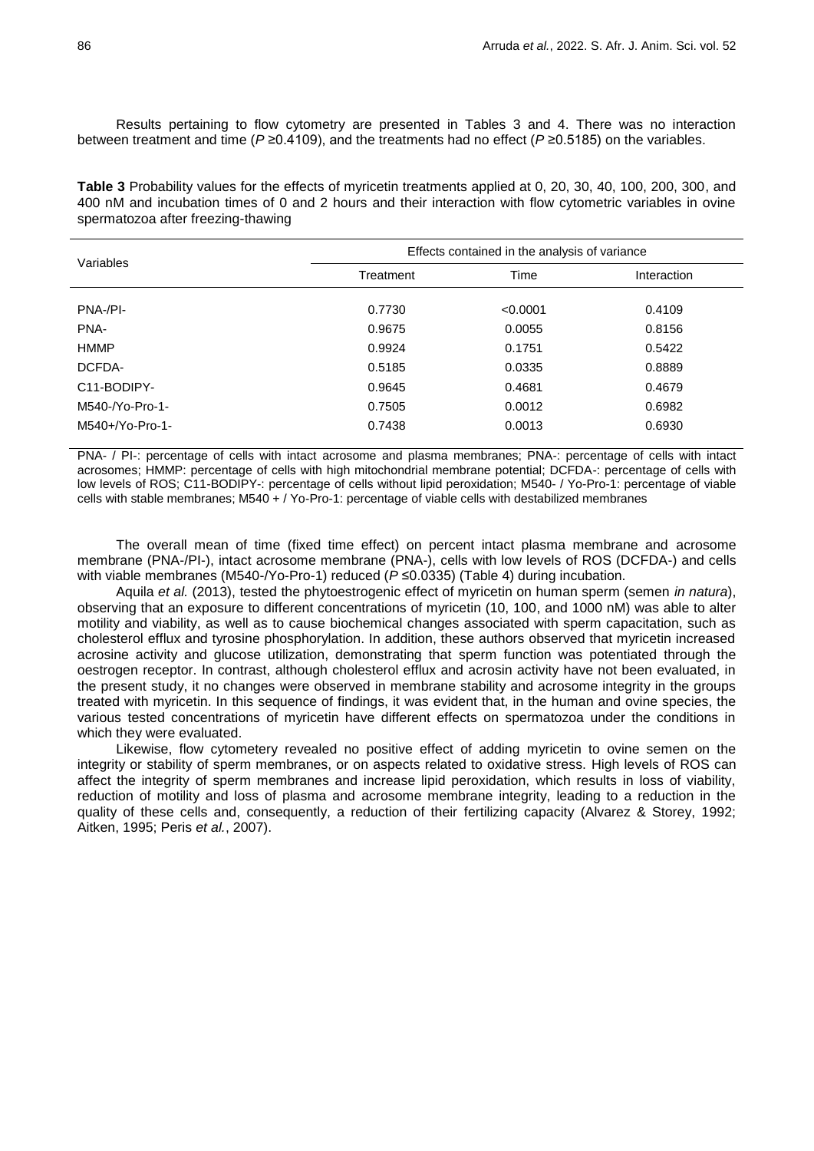Results pertaining to flow cytometry are presented in Tables 3 and 4. There was no interaction between treatment and time (*P* ≥0.4109), and the treatments had no effect (*P* ≥0.5185) on the variables.

**Table 3** Probability values for the effects of myricetin treatments applied at 0, 20, 30, 40, 100, 200, 300, and 400 nM and incubation times of 0 and 2 hours and their interaction with flow cytometric variables in ovine spermatozoa after freezing-thawing

| Variables          | Effects contained in the analysis of variance |          |             |  |  |  |  |
|--------------------|-----------------------------------------------|----------|-------------|--|--|--|--|
|                    | Treatment                                     | Time     | Interaction |  |  |  |  |
| PNA-/PI-           | 0.7730                                        | < 0.0001 | 0.4109      |  |  |  |  |
| PNA-               | 0.9675                                        | 0.0055   | 0.8156      |  |  |  |  |
| <b>HMMP</b>        | 0.9924                                        | 0.1751   | 0.5422      |  |  |  |  |
| DCFDA-             | 0.5185                                        | 0.0335   | 0.8889      |  |  |  |  |
| C11-BODIPY-        | 0.9645                                        | 0.4681   | 0.4679      |  |  |  |  |
| M540-/Yo-Pro-1-    | 0.7505                                        | 0.0012   | 0.6982      |  |  |  |  |
| $M540+$ /Yo-Pro-1- | 0.7438                                        | 0.0013   | 0.6930      |  |  |  |  |

PNA- / PI-: percentage of cells with intact acrosome and plasma membranes; PNA-: percentage of cells with intact acrosomes; HMMP: percentage of cells with high mitochondrial membrane potential; DCFDA-: percentage of cells with low levels of ROS; C11-BODIPY-: percentage of cells without lipid peroxidation; M540- / Yo-Pro-1: percentage of viable cells with stable membranes; M540 + / Yo-Pro-1: percentage of viable cells with destabilized membranes

The overall mean of time (fixed time effect) on percent intact plasma membrane and acrosome membrane (PNA-/PI-), intact acrosome membrane (PNA-), cells with low levels of ROS (DCFDA-) and cells with viable membranes (M540-/Yo-Pro-1) reduced ( $P ≤ 0.0335$ ) (Table 4) during incubation.

Aquila *et al.* (2013), tested the phytoestrogenic effect of myricetin on human sperm (semen *in natura*), observing that an exposure to different concentrations of myricetin (10, 100, and 1000 nM) was able to alter motility and viability, as well as to cause biochemical changes associated with sperm capacitation, such as cholesterol efflux and tyrosine phosphorylation. In addition, these authors observed that myricetin increased acrosine activity and glucose utilization, demonstrating that sperm function was potentiated through the oestrogen receptor. In contrast, although cholesterol efflux and acrosin activity have not been evaluated, in the present study, it no changes were observed in membrane stability and acrosome integrity in the groups treated with myricetin. In this sequence of findings, it was evident that, in the human and ovine species, the various tested concentrations of myricetin have different effects on spermatozoa under the conditions in which they were evaluated.

Likewise, flow cytometery revealed no positive effect of adding myricetin to ovine semen on the integrity or stability of sperm membranes, or on aspects related to oxidative stress. High levels of ROS can affect the integrity of sperm membranes and increase lipid peroxidation, which results in loss of viability, reduction of motility and loss of plasma and acrosome membrane integrity, leading to a reduction in the quality of these cells and, consequently, a reduction of their fertilizing capacity (Alvarez & Storey, 1992; Aitken, 1995; Peris *et al.*, 2007).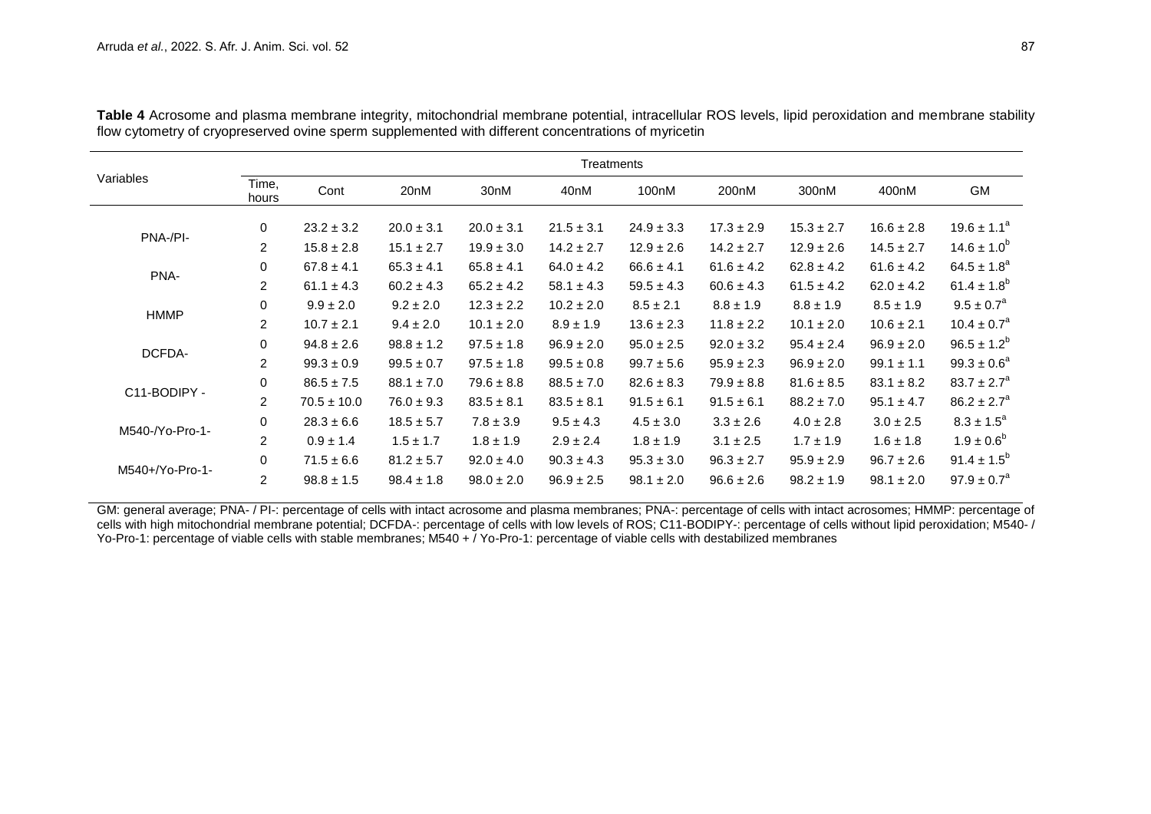| Variables       | <b>Treatments</b> |                 |                  |                  |                  |                |                    |                |                |                        |
|-----------------|-------------------|-----------------|------------------|------------------|------------------|----------------|--------------------|----------------|----------------|------------------------|
|                 | Time,<br>hours    | Cont            | 20 <sub>nM</sub> | 30 <sub>nM</sub> | 40 <sub>nM</sub> | 100nM          | 200 <sub>n</sub> M | 300nM          | 400nM          | GM                     |
| PNA-/PI-        | 0                 | $23.2 \pm 3.2$  | $20.0 \pm 3.1$   | $20.0 \pm 3.1$   | $21.5 \pm 3.1$   | $24.9 \pm 3.3$ | $17.3 \pm 2.9$     | $15.3 \pm 2.7$ | $16.6 \pm 2.8$ | $19.6 \pm 1.1^a$       |
|                 | $\overline{2}$    | $15.8 \pm 2.8$  | $15.1 \pm 2.7$   | $19.9 \pm 3.0$   | $14.2 \pm 2.7$   | $12.9 \pm 2.6$ | $14.2 \pm 2.7$     | $12.9 \pm 2.6$ | $14.5 \pm 2.7$ | $14.6 \pm 1.0^{\circ}$ |
| PNA-            | $\mathbf 0$       | $67.8 \pm 4.1$  | $65.3 \pm 4.1$   | $65.8 \pm 4.1$   | $64.0 \pm 4.2$   | $66.6 \pm 4.1$ | $61.6 \pm 4.2$     | $62.8 \pm 4.2$ | $61.6 \pm 4.2$ | $64.5 \pm 1.8^a$       |
|                 | $\overline{2}$    | $61.1 \pm 4.3$  | $60.2 \pm 4.3$   | $65.2 \pm 4.2$   | $58.1 \pm 4.3$   | $59.5 \pm 4.3$ | $60.6 \pm 4.3$     | $61.5 \pm 4.2$ | $62.0 \pm 4.2$ | $61.4 \pm 1.8^{b}$     |
| <b>HMMP</b>     | $\mathbf 0$       | $9.9 \pm 2.0$   | $9.2 \pm 2.0$    | $12.3 \pm 2.2$   | $10.2 \pm 2.0$   | $8.5 \pm 2.1$  | $8.8 \pm 1.9$      | $8.8 \pm 1.9$  | $8.5 \pm 1.9$  | $9.5 \pm 0.7^a$        |
|                 | $\overline{2}$    | $10.7 \pm 2.1$  | $9.4 \pm 2.0$    | $10.1 \pm 2.0$   | $8.9 \pm 1.9$    | $13.6 \pm 2.3$ | $11.8 \pm 2.2$     | $10.1 \pm 2.0$ | $10.6 \pm 2.1$ | $10.4 \pm 0.7^a$       |
| DCFDA-          | $\mathbf 0$       | $94.8 \pm 2.6$  | $98.8 \pm 1.2$   | $97.5 \pm 1.8$   | $96.9 \pm 2.0$   | $95.0 \pm 2.5$ | $92.0 \pm 3.2$     | $95.4 \pm 2.4$ | $96.9 \pm 2.0$ | $96.5 \pm 1.2^b$       |
|                 | $\overline{2}$    | $99.3 \pm 0.9$  | $99.5 \pm 0.7$   | $97.5 \pm 1.8$   | $99.5 \pm 0.8$   | $99.7 \pm 5.6$ | $95.9 \pm 2.3$     | $96.9 \pm 2.0$ | $99.1 \pm 1.1$ | $99.3 \pm 0.6^a$       |
| C11-BODIPY -    | 0                 | $86.5 \pm 7.5$  | $88.1 \pm 7.0$   | $79.6 \pm 8.8$   | $88.5 \pm 7.0$   | $82.6 \pm 8.3$ | $79.9 \pm 8.8$     | $81.6 \pm 8.5$ | $83.1 \pm 8.2$ | $83.7 \pm 2.7^a$       |
|                 | $\overline{2}$    | $70.5 \pm 10.0$ | $76.0 \pm 9.3$   | $83.5 \pm 8.1$   | $83.5 \pm 8.1$   | $91.5 \pm 6.1$ | $91.5 \pm 6.1$     | $88.2 \pm 7.0$ | $95.1 \pm 4.7$ | $86.2 \pm 2.7^a$       |
| M540-/Yo-Pro-1- | $\mathbf 0$       | $28.3 \pm 6.6$  | $18.5 \pm 5.7$   | $7.8 \pm 3.9$    | $9.5 \pm 4.3$    | $4.5 \pm 3.0$  | $3.3 \pm 2.6$      | $4.0 \pm 2.8$  | $3.0 \pm 2.5$  | $8.3 \pm 1.5^a$        |
|                 | $\overline{2}$    | $0.9 \pm 1.4$   | $1.5 \pm 1.7$    | $1.8 \pm 1.9$    | $2.9 \pm 2.4$    | $1.8 \pm 1.9$  | $3.1 \pm 2.5$      | $1.7 \pm 1.9$  | $1.6 \pm 1.8$  | $1.9 \pm 0.6^b$        |
| M540+/Yo-Pro-1- | $\Omega$          | $71.5 \pm 6.6$  | $81.2 \pm 5.7$   | $92.0 \pm 4.0$   | $90.3 \pm 4.3$   | $95.3 \pm 3.0$ | $96.3 \pm 2.7$     | $95.9 \pm 2.9$ | $96.7 \pm 2.6$ | $91.4 \pm 1.5^b$       |
|                 | $\overline{2}$    | $98.8 \pm 1.5$  | $98.4 \pm 1.8$   | $98.0 \pm 2.0$   | $96.9 \pm 2.5$   | $98.1 \pm 2.0$ | $96.6 \pm 2.6$     | $98.2 \pm 1.9$ | $98.1 \pm 2.0$ | $97.9 \pm 0.7^a$       |

**Table 4** Acrosome and plasma membrane integrity, mitochondrial membrane potential, intracellular ROS levels, lipid peroxidation and membrane stability flow cytometry of cryopreserved ovine sperm supplemented with different concentrations of myricetin

GM: general average; PNA- / PI-: percentage of cells with intact acrosome and plasma membranes; PNA-: percentage of cells with intact acrosomes; HMMP: percentage of cells with high mitochondrial membrane potential; DCFDA-: percentage of cells with low levels of ROS; C11-BODIPY-: percentage of cells without lipid peroxidation; M540- / Yo-Pro-1: percentage of viable cells with stable membranes; M540 + / Yo-Pro-1: percentage of viable cells with destabilized membranes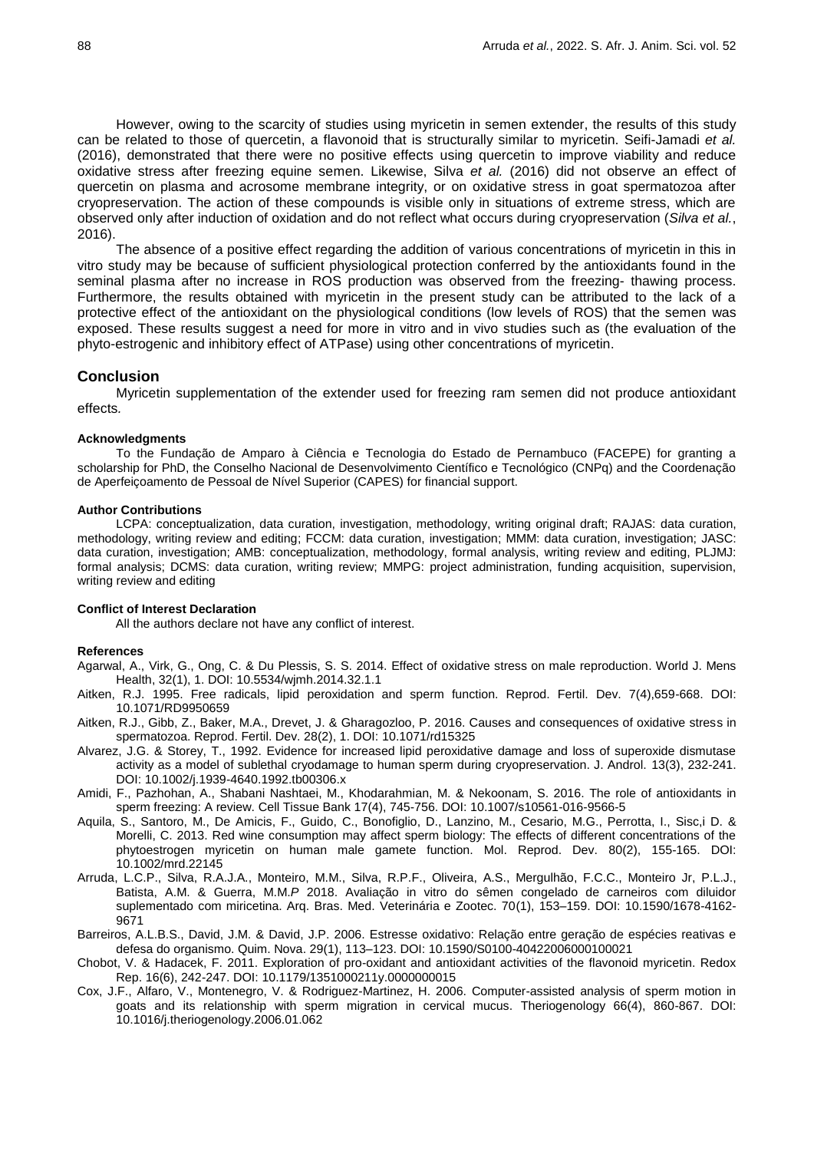However, owing to the scarcity of studies using myricetin in semen extender, the results of this study can be related to those of quercetin, a flavonoid that is structurally similar to myricetin. Seifi-Jamadi *et al.* (2016), demonstrated that there were no positive effects using quercetin to improve viability and reduce oxidative stress after freezing equine semen. Likewise, Silva *et al.* (2016) did not observe an effect of quercetin on plasma and acrosome membrane integrity, or on oxidative stress in goat spermatozoa after cryopreservation. The action of these compounds is visible only in situations of extreme stress, which are observed only after induction of oxidation and do not reflect what occurs during cryopreservation (*Silva et al.*, 2016).

The absence of a positive effect regarding the addition of various concentrations of myricetin in this in vitro study may be because of sufficient physiological protection conferred by the antioxidants found in the seminal plasma after no increase in ROS production was observed from the freezing- thawing process. Furthermore, the results obtained with myricetin in the present study can be attributed to the lack of a protective effect of the antioxidant on the physiological conditions (low levels of ROS) that the semen was exposed. These results suggest a need for more in vitro and in vivo studies such as (the evaluation of the phyto-estrogenic and inhibitory effect of ATPase) using other concentrations of myricetin.

#### **Conclusion**

Myricetin supplementation of the extender used for freezing ram semen did not produce antioxidant effects*.*

#### **Acknowledgments**

To the Fundação de Amparo à Ciência e Tecnologia do Estado de Pernambuco (FACEPE) for granting a scholarship for PhD, the Conselho Nacional de Desenvolvimento Científico e Tecnológico (CNPq) and the Coordenação de Aperfeiçoamento de Pessoal de Nível Superior (CAPES) for financial support.

#### **Author Contributions**

LCPA: conceptualization, data curation, investigation, methodology, writing original draft; RAJAS: data curation, methodology, writing review and editing; FCCM: data curation, investigation; MMM: data curation, investigation; JASC: data curation, investigation; AMB: conceptualization, methodology, formal analysis, writing review and editing, PLJMJ: formal analysis; DCMS: data curation, writing review; MMPG: project administration, funding acquisition, supervision, writing review and editing

#### **Conflict of Interest Declaration**

All the authors declare not have any conflict of interest.

### **References**

- Agarwal, A., Virk, G., Ong, C. & Du Plessis, S. S. 2014. Effect of oxidative stress on male reproduction. World J. Mens Health, 32(1), 1. DOI: 10.5534/wjmh.2014.32.1.1
- Aitken, R.J. 1995. Free radicals, lipid peroxidation and sperm function. Reprod. Fertil. Dev. 7(4),659-668. DOI: [10.1071/RD9950659](https://doi.org/10.1071/RD9950659)
- Aitken, R.J., Gibb, Z., Baker, M.A., Drevet, J. & Gharagozloo, P. 2016. Causes and consequences of oxidative stress in spermatozoa. Reprod. Fertil. Dev. 28(2), 1. DOI: 10.1071/rd15325
- Alvarez, J.G. & Storey, T., 1992. Evidence for increased lipid peroxidative damage and loss of superoxide dismutase activity as a model of sublethal cryodamage to human sperm during cryopreservation. J. Androl. 13(3), 232-241. DOI: [10.1002/j.1939-4640.1992.tb00306.x](https://doi.org/https:/doi.org/10.1002/j.1939-4640.1992.tb00306.x)
- Amidi, F., Pazhohan, A., Shabani Nashtaei, M., Khodarahmian, M. & Nekoonam, S. 2016. The role of antioxidants in sperm freezing: A review. Cell Tissue Bank 17(4), 745-756. DOI: [10.1007/s10561-016-9566-5](https://doi.org/10.1007/s10561-016-9566-5)
- Aquila, S., Santoro, M., De Amicis, F., Guido, C., Bonofiglio, D., Lanzino, M., Cesario, M.G., Perrotta, I., Sisc,i D. & Morelli, C. 2013. Red wine consumption may affect sperm biology: The effects of different concentrations of the phytoestrogen myricetin on human male gamete function. Mol. Reprod. Dev. 80(2), 155-165. DOI: [10.1002/mrd.22145](https://doi.org/10.1002/mrd.22145)
- Arruda, L.C.P., Silva, R.A.J.A., Monteiro, M.M., Silva, R.P.F., Oliveira, A.S., Mergulhão, F.C.C., Monteiro Jr, P.L.J., Batista, A.M. & Guerra, M.M.*P* 2018. Avaliação in vitro do sêmen congelado de carneiros com diluidor suplementado com miricetina. Arq. Bras. Med. Veterinária e Zootec. 70(1), 153–159. DOI: [10.1590/1678-4162-](https://doi.org/10.1590/1678-4162-9671) [9671](https://doi.org/10.1590/1678-4162-9671)
- Barreiros, A.L.B.S., David, J.M. & David, J.P. 2006. Estresse oxidativo: Relação entre geração de espécies reativas e defesa do organismo. Quim. Nova. 29(1), 113–123. DOI[: 10.1590/S0100-40422006000100021](https://doi.org/10.1590/S0100-40422006000100021)
- Chobot, V. & Hadacek, F. 2011. Exploration of pro-oxidant and antioxidant activities of the flavonoid myricetin. Redox Rep. 16(6), 242-247. DOI: 10.1179/1351000211y.0000000015
- Cox, J.F., Alfaro, V., Montenegro, V. & Rodriguez-Martinez, H. 2006. Computer-assisted analysis of sperm motion in goats and its relationship with sperm migration in cervical mucus. Theriogenology 66(4), 860-867. DOI: [10.1016/j.theriogenology.2006.01.062](https://doi.org/10.1016/j.theriogenology.2006.01.062)